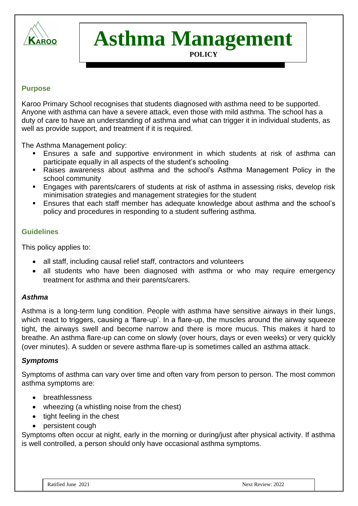

# **Asthma Management**

# **POLICY**

### **Purpose**

Karoo Primary School recognises that students diagnosed with asthma need to be supported. Anyone with asthma can have a severe attack, even those with mild asthma. The school has a duty of care to have an understanding of asthma and what can trigger it in individual students, as well as provide support, and treatment if it is required.

The Asthma Management policy:

- Ensures a safe and supportive environment in which students at risk of asthma can participate equally in all aspects of the student's schooling
- Raises awareness about asthma and the school's Asthma Management Policy in the school community
- Engages with parents/carers of students at risk of asthma in assessing risks, develop risk minimisation strategies and management strategies for the student
- Ensures that each staff member has adequate knowledge about asthma and the school's policy and procedures in responding to a student suffering asthma.

### **Guidelines**

This policy applies to:

- all staff, including causal relief staff, contractors and volunteers
- all students who have been diagnosed with asthma or who may require emergency treatment for asthma and their parents/carers.

### *Asthma*

Asthma is a long-term lung condition. People with asthma have sensitive airways in their lungs, which react to triggers, causing a 'flare-up'. In a flare-up, the muscles around the airway squeeze tight, the airways swell and become narrow and there is more mucus. This makes it hard to breathe. An asthma flare-up can come on slowly (over hours, days or even weeks) or very quickly (over minutes). A sudden or severe asthma flare-up is sometimes called an asthma attack.

### *Symptoms*

Symptoms of asthma can vary over time and often vary from person to person. The most common asthma symptoms are:

- breathlessness
- wheezing (a whistling noise from the chest)
- tight feeling in the chest
- persistent cough

Symptoms often occur at night, early in the morning or during/just after physical activity. If asthma is well controlled, a person should only have occasional asthma symptoms.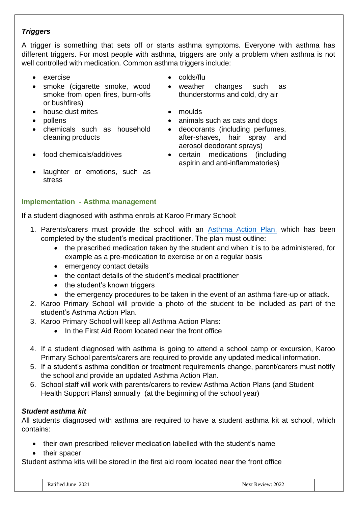# *Triggers*

A trigger is something that sets off or starts asthma symptoms. Everyone with asthma has different triggers. For most people with asthma, triggers are only a problem when asthma is not well controlled with medication. Common asthma triggers include:

- exercise colds/flu
- smoke (cigarette smoke, wood smoke from open fires, burn-offs or bushfires)
- house dust mites moulds
- 
- chemicals such as household cleaning products
- 
- laughter or emotions, such as stress
- **Implementation - Asthma management**

If a student diagnosed with asthma enrols at Karoo Primary School:

- 1. Parents/carers must provide the school with an [Asthma Action](http://www.education.vic.gov.au/school/principals/spag/health/Documents/AsthmaCarePlan.pdf) Plan, which has been completed by the student's medical practitioner. The plan must outline:
	- the prescribed medication taken by the student and when it is to be administered, for example as a pre-medication to exercise or on a regular basis
	- emergency contact details
	- the contact details of the student's medical practitioner
	- the student's known triggers
	- the emergency procedures to be taken in the event of an asthma flare-up or attack.
- 2. Karoo Primary School will provide a photo of the student to be included as part of the student's Asthma Action Plan.
- 3. Karoo Primary School will keep all Asthma Action Plans:
	- In the First Aid Room located near the front office
- 4. If a student diagnosed with asthma is going to attend a school camp or excursion, Karoo Primary School parents/carers are required to provide any updated medical information.
- 5. If a student's asthma condition or treatment requirements change, parent/carers must notify the school and provide an updated Asthma Action Plan.
- 6. School staff will work with parents/carers to review Asthma Action Plans (and Student Health Support Plans) annually (at the beginning of the school year)

# *Student asthma kit*

All students diagnosed with asthma are required to have a student asthma kit at school, which contains:

- their own prescribed reliever medication labelled with the student's name
- their spacer

Student asthma kits will be stored in the first aid room located near the front office

- 
- weather changes such as thunderstorms and cold, dry air
- 
- pollens animals such as cats and dogs
	- deodorants (including perfumes, after-shaves, hair spray and aerosol deodorant sprays)
- food chemicals/additives certain medications (including aspirin and anti-inflammatories)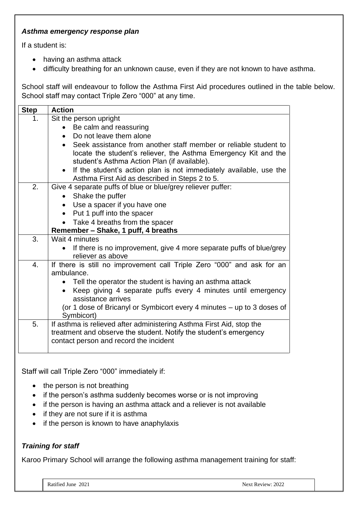## *Asthma emergency response plan*

If a student is:

- having an asthma attack
- difficulty breathing for an unknown cause, even if they are not known to have asthma.

School staff will endeavour to follow the Asthma First Aid procedures outlined in the table below. School staff may contact Triple Zero "000" at any time.

| <b>Step</b> | <b>Action</b>                                                                                                                                                                         |  |  |  |  |  |
|-------------|---------------------------------------------------------------------------------------------------------------------------------------------------------------------------------------|--|--|--|--|--|
| 1.          | Sit the person upright                                                                                                                                                                |  |  |  |  |  |
|             | Be calm and reassuring                                                                                                                                                                |  |  |  |  |  |
|             | Do not leave them alone                                                                                                                                                               |  |  |  |  |  |
|             | • Seek assistance from another staff member or reliable student to<br>locate the student's reliever, the Asthma Emergency Kit and the<br>student's Asthma Action Plan (if available). |  |  |  |  |  |
|             | If the student's action plan is not immediately available, use the<br>Asthma First Aid as described in Steps 2 to 5.                                                                  |  |  |  |  |  |
| 2.          | Give 4 separate puffs of blue or blue/grey reliever puffer:                                                                                                                           |  |  |  |  |  |
|             | Shake the puffer                                                                                                                                                                      |  |  |  |  |  |
|             | Use a spacer if you have one<br>$\bullet$                                                                                                                                             |  |  |  |  |  |
|             | Put 1 puff into the spacer                                                                                                                                                            |  |  |  |  |  |
|             | Take 4 breaths from the spacer                                                                                                                                                        |  |  |  |  |  |
|             | Remember - Shake, 1 puff, 4 breaths                                                                                                                                                   |  |  |  |  |  |
| 3.          | Wait 4 minutes                                                                                                                                                                        |  |  |  |  |  |
|             | If there is no improvement, give 4 more separate puffs of blue/grey<br>$\bullet$<br>reliever as above                                                                                 |  |  |  |  |  |
| 4.          | If there is still no improvement call Triple Zero "000" and ask for an                                                                                                                |  |  |  |  |  |
|             | ambulance.                                                                                                                                                                            |  |  |  |  |  |
|             | • Tell the operator the student is having an asthma attack                                                                                                                            |  |  |  |  |  |
|             | Keep giving 4 separate puffs every 4 minutes until emergency<br>assistance arrives                                                                                                    |  |  |  |  |  |
|             | (or 1 dose of Bricanyl or Symbicort every 4 minutes - up to 3 doses of<br>Symbicort)                                                                                                  |  |  |  |  |  |
| 5.          | If asthma is relieved after administering Asthma First Aid, stop the<br>treatment and observe the student. Notify the student's emergency<br>contact person and record the incident   |  |  |  |  |  |

Staff will call Triple Zero "000" immediately if:

- the person is not breathing
- if the person's asthma suddenly becomes worse or is not improving
- if the person is having an asthma attack and a reliever is not available
- if they are not sure if it is asthma
- if the person is known to have anaphylaxis

# *Training for staff*

Karoo Primary School will arrange the following asthma management training for staff: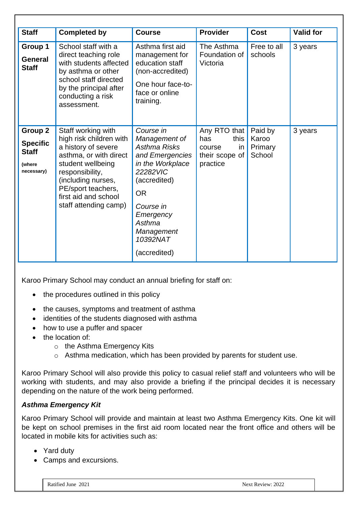| <b>Staff</b>                                                              | <b>Completed by</b>                                                                                                                                                                                                                 | <b>Course</b>                                                                                                                                                                                            | <b>Provider</b>                                                            | Cost                                  | <b>Valid for</b> |
|---------------------------------------------------------------------------|-------------------------------------------------------------------------------------------------------------------------------------------------------------------------------------------------------------------------------------|----------------------------------------------------------------------------------------------------------------------------------------------------------------------------------------------------------|----------------------------------------------------------------------------|---------------------------------------|------------------|
| Group 1<br><b>General</b><br><b>Staff</b>                                 | School staff with a<br>direct teaching role<br>with students affected<br>by asthma or other<br>school staff directed<br>by the principal after<br>conducting a risk<br>assessment.                                                  | Asthma first aid<br>management for<br>education staff<br>(non-accredited)<br>One hour face-to-<br>face or online<br>training.                                                                            | The Asthma<br>Foundation of<br>Victoria                                    | Free to all<br>schools                | 3 years          |
| <b>Group 2</b><br><b>Specific</b><br><b>Staff</b><br>(where<br>necessary) | Staff working with<br>high risk children with<br>a history of severe<br>asthma, or with direct<br>student wellbeing<br>responsibility,<br>(including nurses,<br>PE/sport teachers,<br>first aid and school<br>staff attending camp) | Course in<br>Management of<br>Asthma Risks<br>and Emergencies<br>in the Workplace<br>22282VIC<br>(accredited)<br><b>OR</b><br>Course in<br>Emergency<br>Asthma<br>Management<br>10392NAT<br>(accredited) | Any RTO that<br>this<br>has<br>in.<br>course<br>their scope of<br>practice | Paid by<br>Karoo<br>Primary<br>School | 3 years          |

Karoo Primary School may conduct an annual briefing for staff on:

- the procedures outlined in this policy
- the causes, symptoms and treatment of asthma
- identities of the students diagnosed with asthma
- how to use a puffer and spacer
- the location of:
	- o the Asthma Emergency Kits
	- o Asthma medication, which has been provided by parents for student use.

Karoo Primary School will also provide this policy to casual relief staff and volunteers who will be working with students, and may also provide a briefing if the principal decides it is necessary depending on the nature of the work being performed.

# *Asthma Emergency Kit*

Karoo Primary School will provide and maintain at least two Asthma Emergency Kits. One kit will be kept on school premises in the first aid room located near the front office and others will be located in mobile kits for activities such as:

- Yard duty
- Camps and excursions.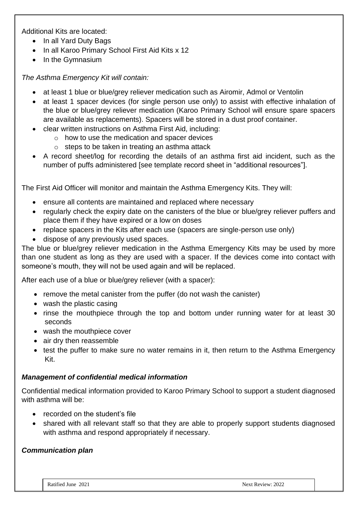Additional Kits are located:

- In all Yard Duty Bags
- In all Karoo Primary School First Aid Kits x 12
- In the Gymnasium

*The Asthma Emergency Kit will contain:*

- at least 1 blue or blue/grey reliever medication such as Airomir, Admol or Ventolin
- at least 1 spacer devices (for single person use only) to assist with effective inhalation of the blue or blue/grey reliever medication (Karoo Primary School will ensure spare spacers are available as replacements). Spacers will be stored in a dust proof container.
- clear written instructions on Asthma First Aid, including:
	- o how to use the medication and spacer devices
	- $\circ$  steps to be taken in treating an asthma attack
- A record sheet/log for recording the details of an asthma first aid incident, such as the number of puffs administered [see template record sheet in "additional resources"].

The First Aid Officer will monitor and maintain the Asthma Emergency Kits. They will:

- ensure all contents are maintained and replaced where necessary
- regularly check the expiry date on the canisters of the blue or blue/grey reliever puffers and place them if they have expired or a low on doses
- replace spacers in the Kits after each use (spacers are single-person use only)
- dispose of any previously used spaces.

The blue or blue/grey reliever medication in the Asthma Emergency Kits may be used by more than one student as long as they are used with a spacer. If the devices come into contact with someone's mouth, they will not be used again and will be replaced.

After each use of a blue or blue/grey reliever (with a spacer):

- remove the metal canister from the puffer (do not wash the canister)
- wash the plastic casing
- rinse the mouthpiece through the top and bottom under running water for at least 30 seconds
- wash the mouthpiece cover
- air dry then reassemble
- test the puffer to make sure no water remains in it, then return to the Asthma Emergency Kit.

# *Management of confidential medical information*

Confidential medical information provided to Karoo Primary School to support a student diagnosed with asthma will be:

- recorded on the student's file
- shared with all relevant staff so that they are able to properly support students diagnosed with asthma and respond appropriately if necessary.

# *Communication plan*